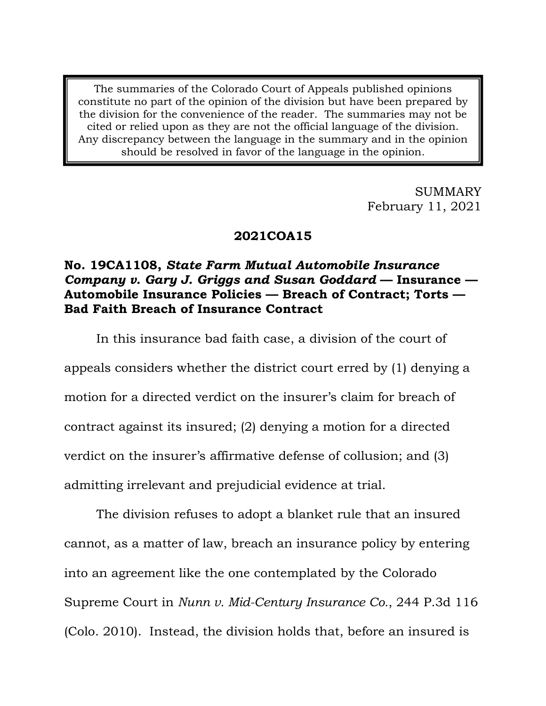The summaries of the Colorado Court of Appeals published opinions constitute no part of the opinion of the division but have been prepared by the division for the convenience of the reader. The summaries may not be cited or relied upon as they are not the official language of the division. Any discrepancy between the language in the summary and in the opinion should be resolved in favor of the language in the opinion.

> SUMMARY February 11, 2021

### **2021COA15**

# **No. 19CA1108,** *State Farm Mutual Automobile Insurance Company v. Gary J. Griggs and Susan Goddard* **— Insurance — Automobile Insurance Policies — Breach of Contract; Torts — Bad Faith Breach of Insurance Contract**

In this insurance bad faith case, a division of the court of appeals considers whether the district court erred by (1) denying a motion for a directed verdict on the insurer's claim for breach of contract against its insured; (2) denying a motion for a directed verdict on the insurer's affirmative defense of collusion; and (3) admitting irrelevant and prejudicial evidence at trial.

The division refuses to adopt a blanket rule that an insured cannot, as a matter of law, breach an insurance policy by entering into an agreement like the one contemplated by the Colorado Supreme Court in *Nunn v. Mid-Century Insurance Co.*, 244 P.3d 116 (Colo. 2010). Instead, the division holds that, before an insured is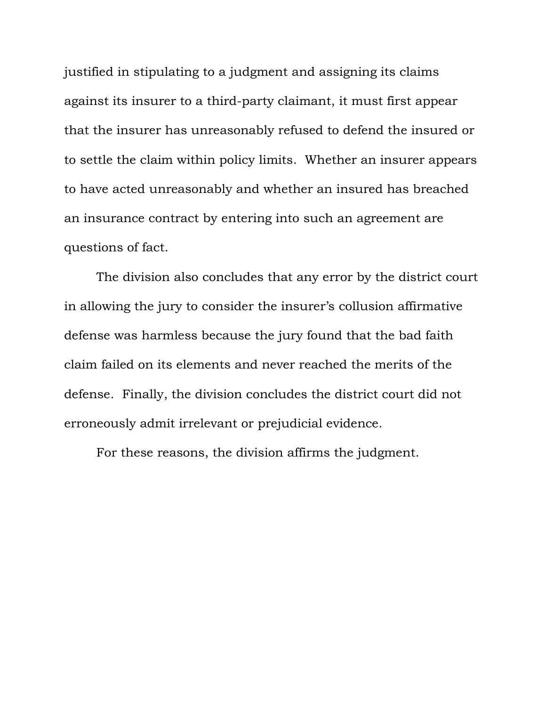justified in stipulating to a judgment and assigning its claims against its insurer to a third-party claimant, it must first appear that the insurer has unreasonably refused to defend the insured or to settle the claim within policy limits. Whether an insurer appears to have acted unreasonably and whether an insured has breached an insurance contract by entering into such an agreement are questions of fact.

The division also concludes that any error by the district court in allowing the jury to consider the insurer's collusion affirmative defense was harmless because the jury found that the bad faith claim failed on its elements and never reached the merits of the defense. Finally, the division concludes the district court did not erroneously admit irrelevant or prejudicial evidence.

For these reasons, the division affirms the judgment.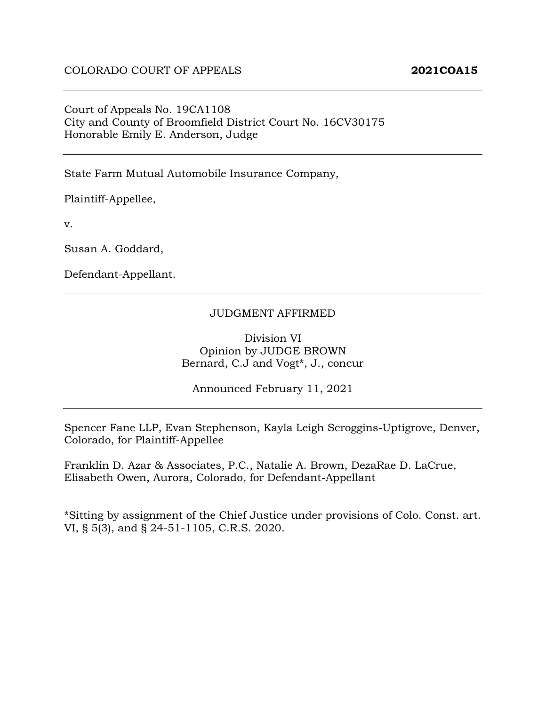### Court of Appeals No. 19CA1108 City and County of Broomfield District Court No. 16CV30175 Honorable Emily E. Anderson, Judge

State Farm Mutual Automobile Insurance Company,

Plaintiff-Appellee,

v.

Susan A. Goddard,

Defendant-Appellant.

#### JUDGMENT AFFIRMED

Division VI Opinion by JUDGE BROWN Bernard, C.J and Vogt\*, J., concur

Announced February 11, 2021

Spencer Fane LLP, Evan Stephenson, Kayla Leigh Scroggins-Uptigrove, Denver, Colorado, for Plaintiff-Appellee

Franklin D. Azar & Associates, P.C., Natalie A. Brown, DezaRae D. LaCrue, Elisabeth Owen, Aurora, Colorado, for Defendant-Appellant

\*Sitting by assignment of the Chief Justice under provisions of Colo. Const. art. VI, § 5(3), and § 24-51-1105, C.R.S. 2020.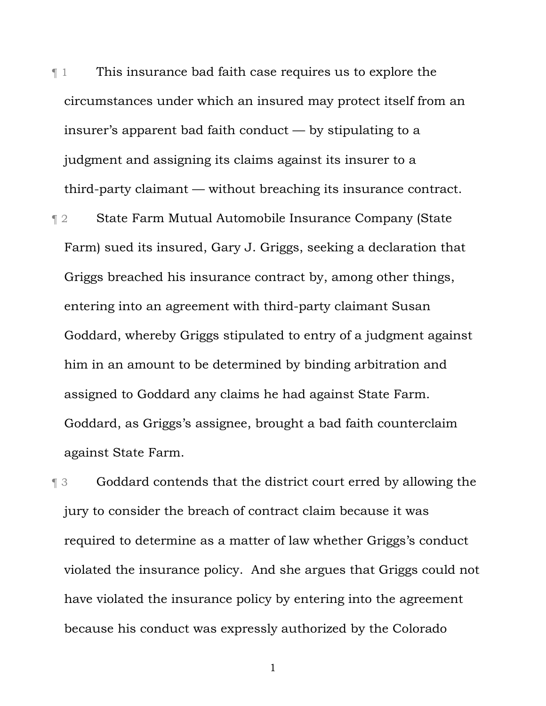¶ 1 This insurance bad faith case requires us to explore the circumstances under which an insured may protect itself from an insurer's apparent bad faith conduct — by stipulating to a judgment and assigning its claims against its insurer to a third-party claimant — without breaching its insurance contract.

¶ 2 State Farm Mutual Automobile Insurance Company (State Farm) sued its insured, Gary J. Griggs, seeking a declaration that Griggs breached his insurance contract by, among other things, entering into an agreement with third-party claimant Susan Goddard, whereby Griggs stipulated to entry of a judgment against him in an amount to be determined by binding arbitration and assigned to Goddard any claims he had against State Farm. Goddard, as Griggs's assignee, brought a bad faith counterclaim against State Farm.

¶ 3 Goddard contends that the district court erred by allowing the jury to consider the breach of contract claim because it was required to determine as a matter of law whether Griggs's conduct violated the insurance policy. And she argues that Griggs could not have violated the insurance policy by entering into the agreement because his conduct was expressly authorized by the Colorado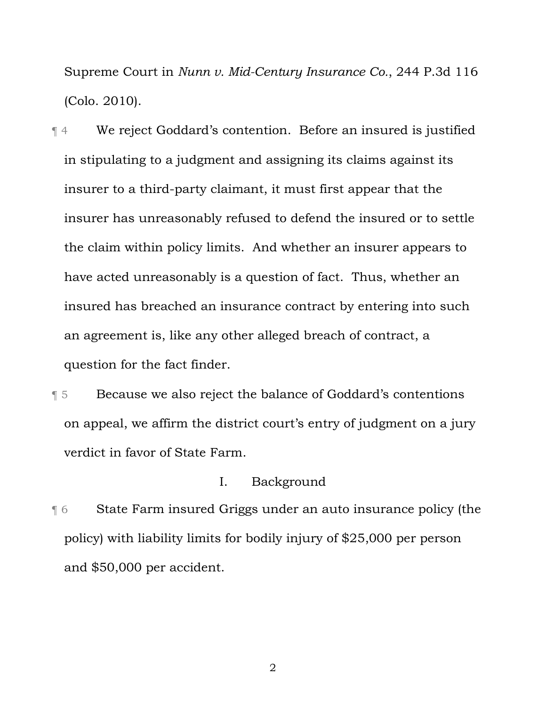Supreme Court in *Nunn v. Mid-Century Insurance Co.*, 244 P.3d 116 (Colo. 2010).

¶ 4 We reject Goddard's contention. Before an insured is justified in stipulating to a judgment and assigning its claims against its insurer to a third-party claimant, it must first appear that the insurer has unreasonably refused to defend the insured or to settle the claim within policy limits. And whether an insurer appears to have acted unreasonably is a question of fact. Thus, whether an insured has breached an insurance contract by entering into such an agreement is, like any other alleged breach of contract, a question for the fact finder.

¶ 5 Because we also reject the balance of Goddard's contentions on appeal, we affirm the district court's entry of judgment on a jury verdict in favor of State Farm.

### I. Background

¶ 6 State Farm insured Griggs under an auto insurance policy (the policy) with liability limits for bodily injury of \$25,000 per person and \$50,000 per accident.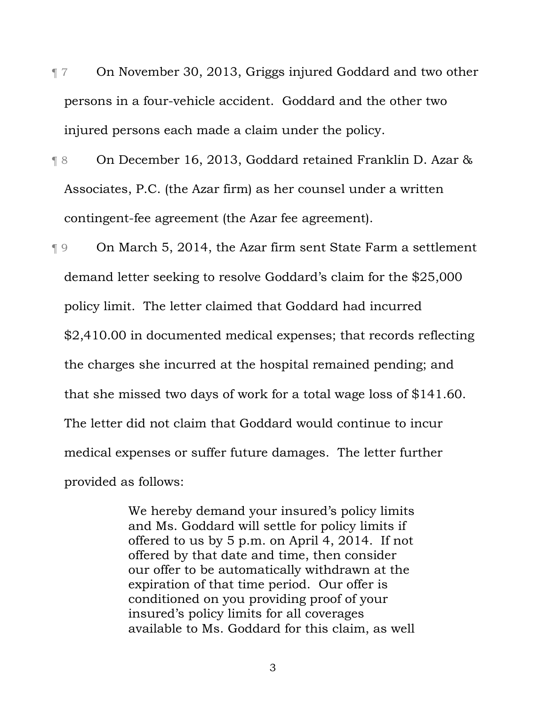- ¶ 7 On November 30, 2013, Griggs injured Goddard and two other persons in a four-vehicle accident. Goddard and the other two injured persons each made a claim under the policy.
- ¶ 8 On December 16, 2013, Goddard retained Franklin D. Azar & Associates, P.C. (the Azar firm) as her counsel under a written contingent-fee agreement (the Azar fee agreement).

¶ 9 On March 5, 2014, the Azar firm sent State Farm a settlement demand letter seeking to resolve Goddard's claim for the \$25,000 policy limit. The letter claimed that Goddard had incurred \$2,410.00 in documented medical expenses; that records reflecting the charges she incurred at the hospital remained pending; and that she missed two days of work for a total wage loss of \$141.60. The letter did not claim that Goddard would continue to incur medical expenses or suffer future damages. The letter further provided as follows:

> We hereby demand your insured's policy limits and Ms. Goddard will settle for policy limits if offered to us by 5 p.m. on April 4, 2014. If not offered by that date and time, then consider our offer to be automatically withdrawn at the expiration of that time period. Our offer is conditioned on you providing proof of your insured's policy limits for all coverages available to Ms. Goddard for this claim, as well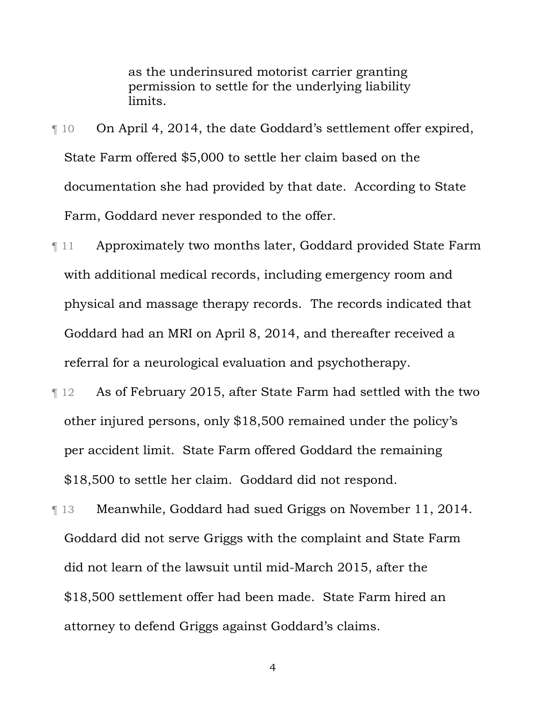as the underinsured motorist carrier granting permission to settle for the underlying liability limits.

- ¶ 10 On April 4, 2014, the date Goddard's settlement offer expired, State Farm offered \$5,000 to settle her claim based on the documentation she had provided by that date. According to State Farm, Goddard never responded to the offer.
- ¶ 11 Approximately two months later, Goddard provided State Farm with additional medical records, including emergency room and physical and massage therapy records.The records indicated that Goddard had an MRI on April 8, 2014, and thereafter received a referral for a neurological evaluation and psychotherapy.
- ¶ 12 As of February 2015, after State Farm had settled with the two other injured persons, only \$18,500 remained under the policy's per accident limit. State Farm offered Goddard the remaining \$18,500 to settle her claim. Goddard did not respond.
- ¶ 13 Meanwhile, Goddard had sued Griggs on November 11, 2014. Goddard did not serve Griggs with the complaint and State Farm did not learn of the lawsuit until mid-March 2015, after the \$18,500 settlement offer had been made. State Farm hired an attorney to defend Griggs against Goddard's claims.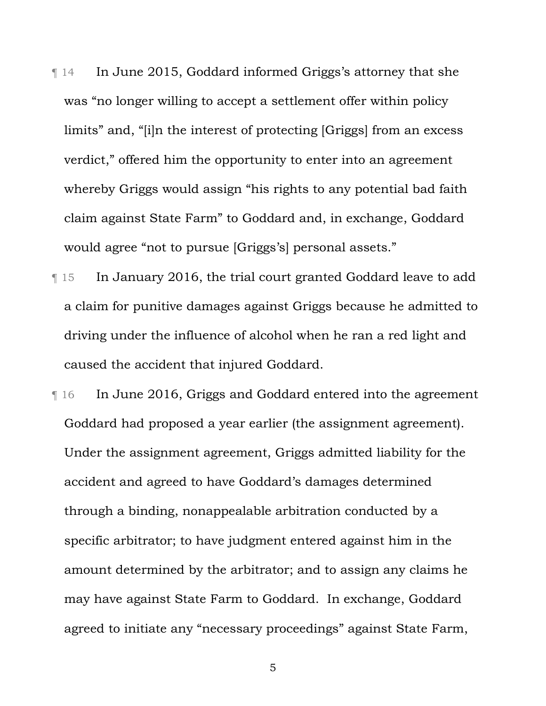- ¶ 14 In June 2015, Goddard informed Griggs's attorney that she was "no longer willing to accept a settlement offer within policy limits" and, "[i]n the interest of protecting [Griggs] from an excess verdict," offered him the opportunity to enter into an agreement whereby Griggs would assign "his rights to any potential bad faith claim against State Farm" to Goddard and, in exchange, Goddard would agree "not to pursue [Griggs's] personal assets."
- ¶ 15 In January 2016, the trial court granted Goddard leave to add a claim for punitive damages against Griggs because he admitted to driving under the influence of alcohol when he ran a red light and caused the accident that injured Goddard.
- ¶ 16 In June 2016, Griggs and Goddard entered into the agreement Goddard had proposed a year earlier (the assignment agreement). Under the assignment agreement, Griggs admitted liability for the accident and agreed to have Goddard's damages determined through a binding, nonappealable arbitration conducted by a specific arbitrator; to have judgment entered against him in the amount determined by the arbitrator; and to assign any claims he may have against State Farm to Goddard. In exchange, Goddard agreed to initiate any "necessary proceedings" against State Farm,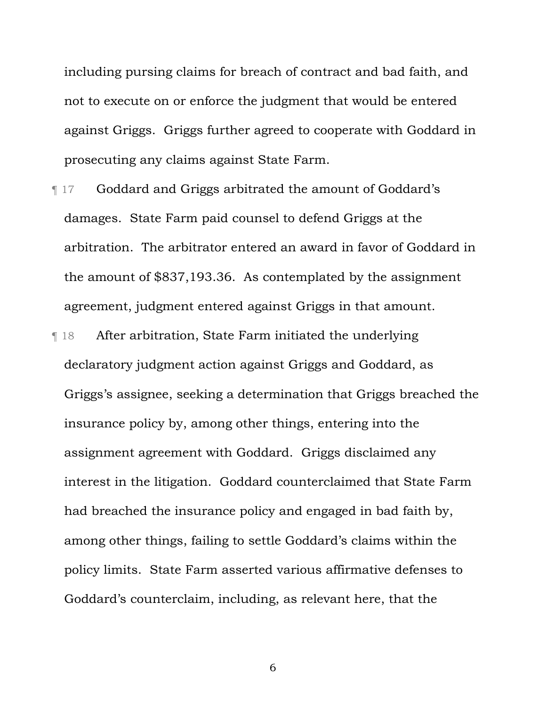including pursing claims for breach of contract and bad faith, and not to execute on or enforce the judgment that would be entered against Griggs. Griggs further agreed to cooperate with Goddard in prosecuting any claims against State Farm.

- ¶ 17 Goddard and Griggs arbitrated the amount of Goddard's damages. State Farm paid counsel to defend Griggs at the arbitration. The arbitrator entered an award in favor of Goddard in the amount of \$837,193.36. As contemplated by the assignment agreement, judgment entered against Griggs in that amount.
- ¶ 18 After arbitration, State Farm initiated the underlying declaratory judgment action against Griggs and Goddard, as Griggs's assignee, seeking a determination that Griggs breached the insurance policy by, among other things, entering into the assignment agreement with Goddard. Griggs disclaimed any interest in the litigation. Goddard counterclaimed that State Farm had breached the insurance policy and engaged in bad faith by, among other things, failing to settle Goddard's claims within the policy limits. State Farm asserted various affirmative defenses to Goddard's counterclaim, including, as relevant here, that the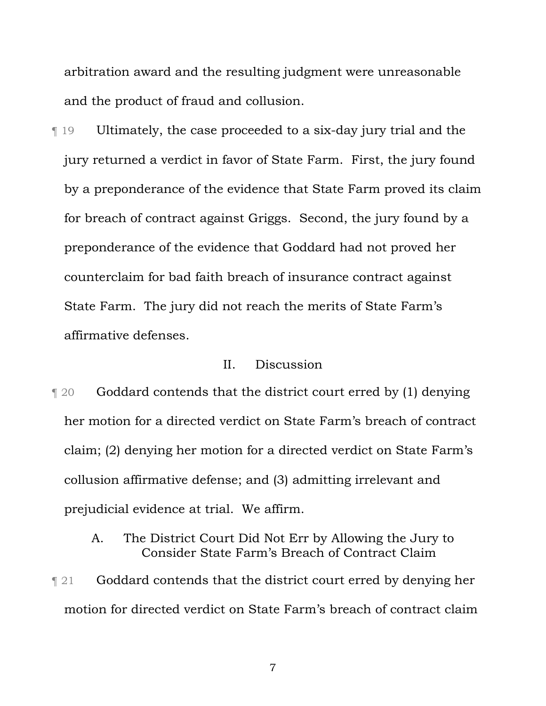arbitration award and the resulting judgment were unreasonable and the product of fraud and collusion.

¶ 19 Ultimately, the case proceeded to a six-day jury trial and the jury returned a verdict in favor of State Farm. First, the jury found by a preponderance of the evidence that State Farm proved its claim for breach of contract against Griggs. Second, the jury found by a preponderance of the evidence that Goddard had not proved her counterclaim for bad faith breach of insurance contract against State Farm. The jury did not reach the merits of State Farm's affirmative defenses.

### II. Discussion

¶ 20 Goddard contends that the district court erred by (1) denying her motion for a directed verdict on State Farm's breach of contract claim; (2) denying her motion for a directed verdict on State Farm's collusion affirmative defense; and (3) admitting irrelevant and prejudicial evidence at trial. We affirm.

## A. The District Court Did Not Err by Allowing the Jury to Consider State Farm's Breach of Contract Claim

**The 21** Goddard contends that the district court erred by denying her motion for directed verdict on State Farm's breach of contract claim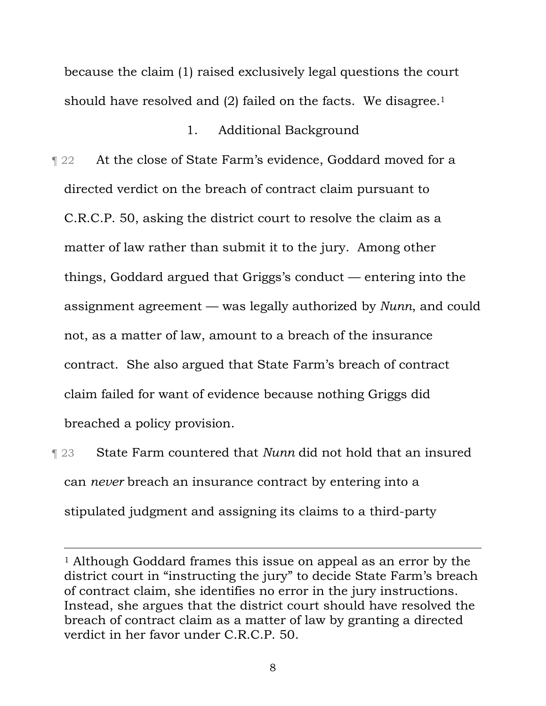because the claim (1) raised exclusively legal questions the court should have resolved and (2) failed on the facts. We disagree.<sup>1</sup>

## 1. Additional Background

- **Term** 22 At the close of State Farm's evidence, Goddard moved for a directed verdict on the breach of contract claim pursuant to C.R.C.P. 50, asking the district court to resolve the claim as a matter of law rather than submit it to the jury. Among other things, Goddard argued that Griggs's conduct — entering into the assignment agreement — was legally authorized by *Nunn*, and could not, as a matter of law, amount to a breach of the insurance contract. She also argued that State Farm's breach of contract claim failed for want of evidence because nothing Griggs did breached a policy provision.
- ¶ 23 State Farm countered that *Nunn* did not hold that an insured can *never* breach an insurance contract by entering into a stipulated judgment and assigning its claims to a third-party

<sup>&</sup>lt;sup>1</sup> Although Goddard frames this issue on appeal as an error by the district court in "instructing the jury" to decide State Farm's breach of contract claim, she identifies no error in the jury instructions. Instead, she argues that the district court should have resolved the breach of contract claim as a matter of law by granting a directed verdict in her favor under C.R.C.P. 50.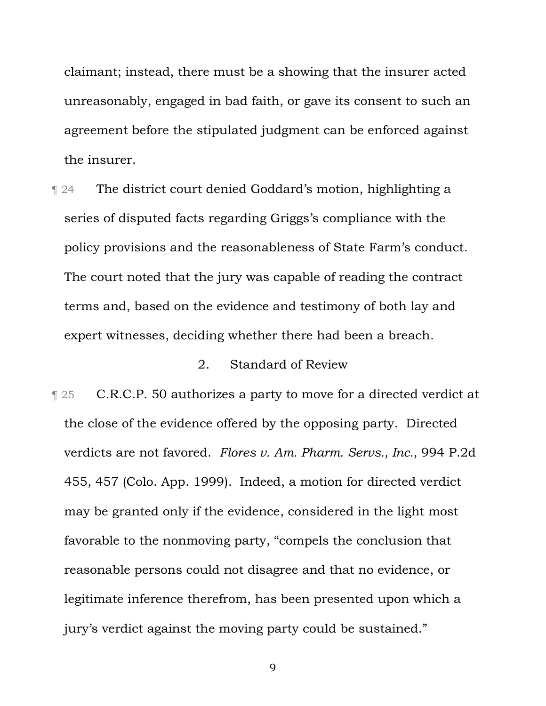claimant; instead, there must be a showing that the insurer acted unreasonably, engaged in bad faith, or gave its consent to such an agreement before the stipulated judgment can be enforced against the insurer.

¶ 24 The district court denied Goddard's motion, highlighting a series of disputed facts regarding Griggs's compliance with the policy provisions and the reasonableness of State Farm's conduct. The court noted that the jury was capable of reading the contract terms and, based on the evidence and testimony of both lay and expert witnesses, deciding whether there had been a breach.

## 2. Standard of Review

**T** 25 C.R.C.P. 50 authorizes a party to move for a directed verdict at the close of the evidence offered by the opposing party. Directed verdicts are not favored. *Flores v. Am. Pharm. Servs., Inc.*, 994 P.2d 455, 457 (Colo. App. 1999). Indeed, a motion for directed verdict may be granted only if the evidence, considered in the light most favorable to the nonmoving party, "compels the conclusion that reasonable persons could not disagree and that no evidence, or legitimate inference therefrom, has been presented upon which a jury's verdict against the moving party could be sustained."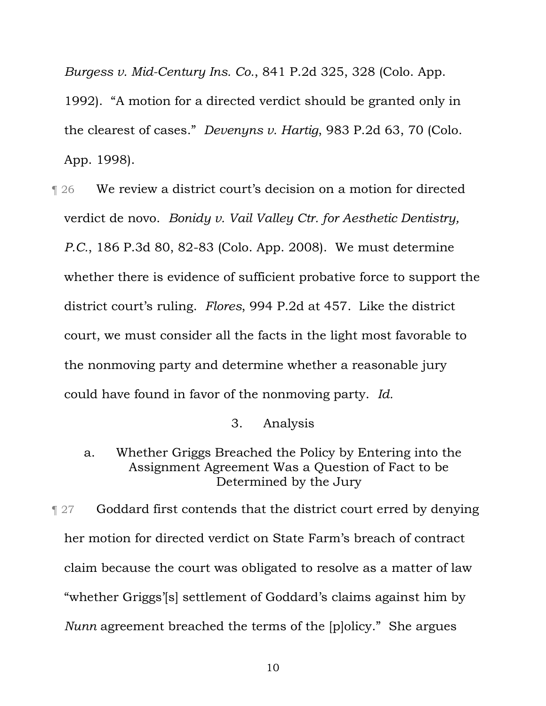*Burgess v. Mid-Century Ins. Co.*, 841 P.2d 325, 328 (Colo. App.

1992). "A motion for a directed verdict should be granted only in the clearest of cases." *Devenyns v. Hartig*, 983 P.2d 63, 70 (Colo. App. 1998).

¶ 26 We review a district court's decision on a motion for directed verdict de novo. *Bonidy v. Vail Valley Ctr. for Aesthetic Dentistry, P.C.*, 186 P.3d 80, 82-83 (Colo. App. 2008). We must determine whether there is evidence of sufficient probative force to support the district court's ruling. *Flores*, 994 P.2d at 457. Like the district court, we must consider all the facts in the light most favorable to the nonmoving party and determine whether a reasonable jury could have found in favor of the nonmoving party. *Id.*

3. Analysis

a. Whether Griggs Breached the Policy by Entering into the Assignment Agreement Was a Question of Fact to be Determined by the Jury

**Term 31.4** Goddard first contends that the district court erred by denying her motion for directed verdict on State Farm's breach of contract claim because the court was obligated to resolve as a matter of law "whether Griggs'[s] settlement of Goddard's claims against him by *Nunn* agreement breached the terms of the [p]olicy." She argues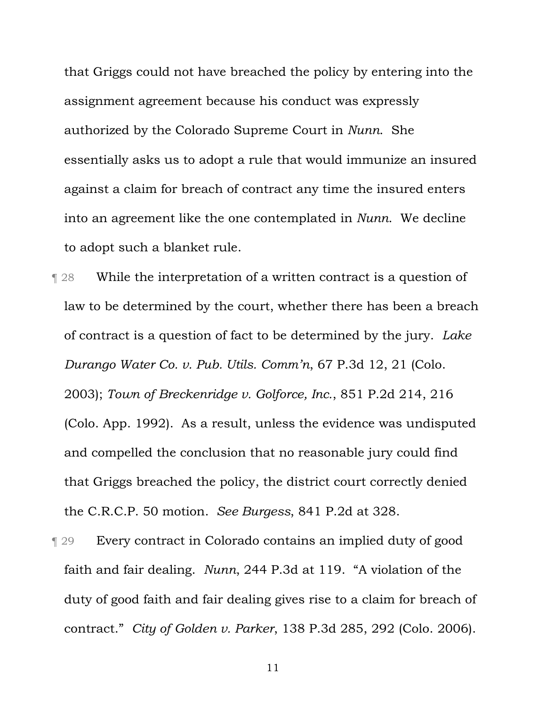that Griggs could not have breached the policy by entering into the assignment agreement because his conduct was expressly authorized by the Colorado Supreme Court in *Nunn*. She essentially asks us to adopt a rule that would immunize an insured against a claim for breach of contract any time the insured enters into an agreement like the one contemplated in *Nunn*. We decline to adopt such a blanket rule.

¶ 28 While the interpretation of a written contract is a question of law to be determined by the court, whether there has been a breach of contract is a question of fact to be determined by the jury. *Lake Durango Water Co. v. Pub. Utils. Comm'n*, 67 P.3d 12, 21 (Colo. 2003); *Town of Breckenridge v. Golforce, Inc.*, 851 P.2d 214, 216 (Colo. App. 1992). As a result, unless the evidence was undisputed and compelled the conclusion that no reasonable jury could find that Griggs breached the policy, the district court correctly denied the C.R.C.P. 50 motion. *See Burgess*, 841 P.2d at 328.

¶ 29 Every contract in Colorado contains an implied duty of good faith and fair dealing. *Nunn*, 244 P.3d at 119. "A violation of the duty of good faith and fair dealing gives rise to a claim for breach of contract." *City of Golden v. Parker*, 138 P.3d 285, 292 (Colo. 2006).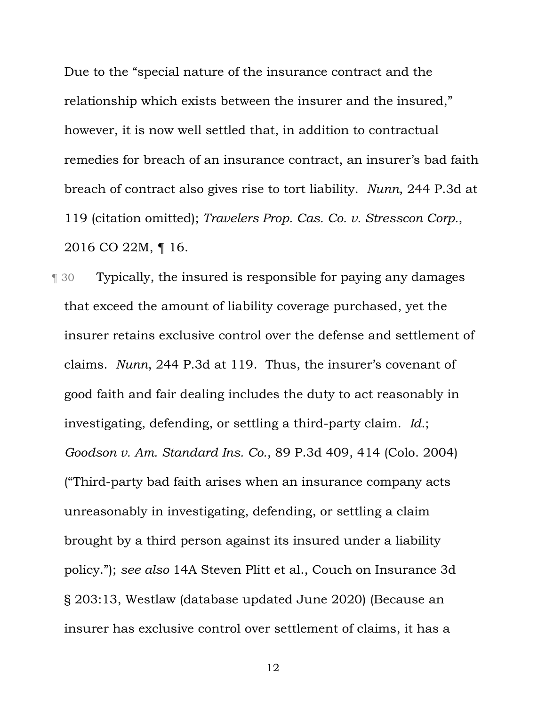Due to the "special nature of the insurance contract and the relationship which exists between the insurer and the insured," however, it is now well settled that, in addition to contractual remedies for breach of an insurance contract, an insurer's bad faith breach of contract also gives rise to tort liability. *Nunn*, 244 P.3d at 119 (citation omitted); *Travelers Prop. Cas. Co. v. Stresscon Corp.*, 2016 CO 22M, ¶ 16.

¶ 30 Typically, the insured is responsible for paying any damages that exceed the amount of liability coverage purchased, yet the insurer retains exclusive control over the defense and settlement of claims. *Nunn*, 244 P.3d at 119. Thus, the insurer's covenant of good faith and fair dealing includes the duty to act reasonably in investigating, defending, or settling a third-party claim. *Id.*; *Goodson v. Am. Standard Ins. Co.*, 89 P.3d 409, 414 (Colo. 2004) ("Third-party bad faith arises when an insurance company acts unreasonably in investigating, defending, or settling a claim brought by a third person against its insured under a liability policy."); *see also* 14A Steven Plitt et al., Couch on Insurance 3d § 203:13, Westlaw (database updated June 2020) (Because an insurer has exclusive control over settlement of claims, it has a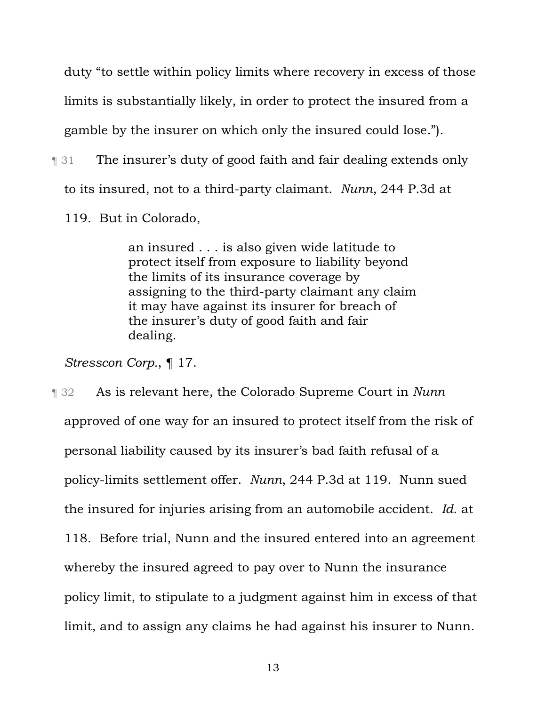duty "to settle within policy limits where recovery in excess of those limits is substantially likely, in order to protect the insured from a gamble by the insurer on which only the insured could lose.").

¶ 31 The insurer's duty of good faith and fair dealing extends only to its insured, not to a third-party claimant. *Nunn*, 244 P.3d at 119. But in Colorado,

> an insured . . . is also given wide latitude to protect itself from exposure to liability beyond the limits of its insurance coverage by assigning to the third-party claimant any claim it may have against its insurer for breach of the insurer's duty of good faith and fair dealing.

*Stresscon Corp.*, ¶ 17.

¶ 32 As is relevant here, the Colorado Supreme Court in *Nunn*  approved of one way for an insured to protect itself from the risk of personal liability caused by its insurer's bad faith refusal of a policy-limits settlement offer. *Nunn*, 244 P.3d at 119. Nunn sued the insured for injuries arising from an automobile accident. *Id.* at 118. Before trial, Nunn and the insured entered into an agreement whereby the insured agreed to pay over to Nunn the insurance policy limit, to stipulate to a judgment against him in excess of that limit, and to assign any claims he had against his insurer to Nunn.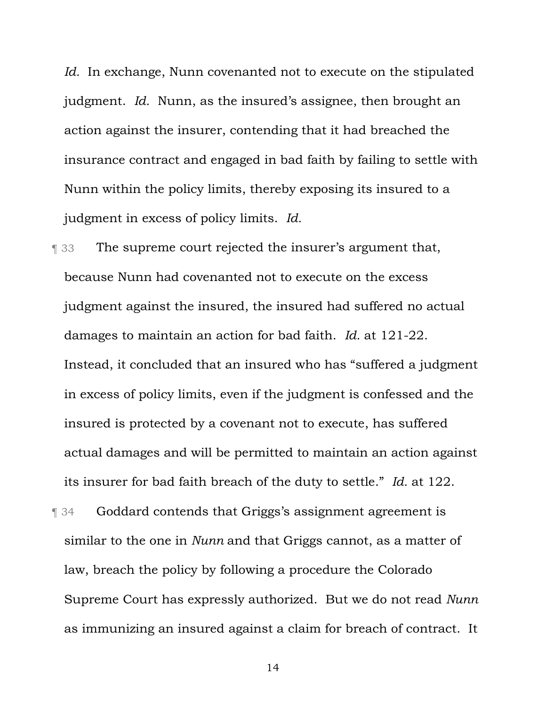*Id.* In exchange, Nunn covenanted not to execute on the stipulated judgment. *Id.* Nunn, as the insured's assignee, then brought an action against the insurer, contending that it had breached the insurance contract and engaged in bad faith by failing to settle with Nunn within the policy limits, thereby exposing its insured to a judgment in excess of policy limits. *Id.*

**The supreme court rejected the insurer's argument that,** because Nunn had covenanted not to execute on the excess judgment against the insured, the insured had suffered no actual damages to maintain an action for bad faith. *Id.* at 121-22. Instead, it concluded that an insured who has "suffered a judgment in excess of policy limits, even if the judgment is confessed and the insured is protected by a covenant not to execute, has suffered actual damages and will be permitted to maintain an action against its insurer for bad faith breach of the duty to settle." *Id.* at 122.

¶ 34 Goddard contends that Griggs's assignment agreement is similar to the one in *Nunn* and that Griggs cannot, as a matter of law, breach the policy by following a procedure the Colorado Supreme Court has expressly authorized. But we do not read *Nunn*  as immunizing an insured against a claim for breach of contract. It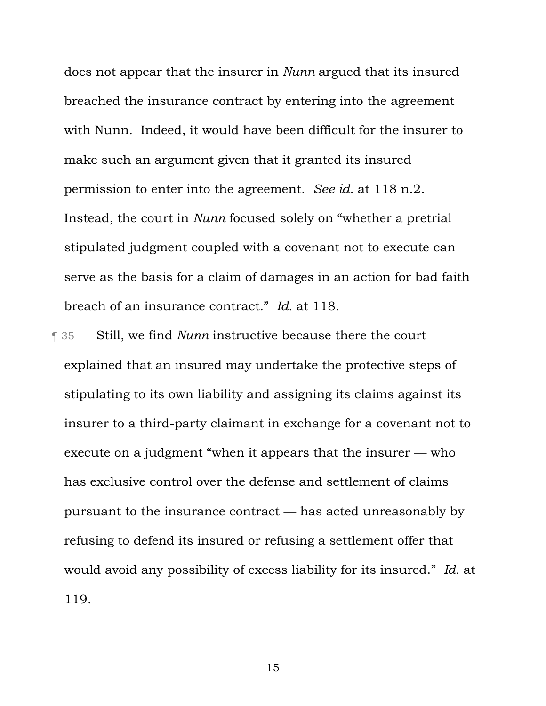does not appear that the insurer in *Nunn* argued that its insured breached the insurance contract by entering into the agreement with Nunn. Indeed, it would have been difficult for the insurer to make such an argument given that it granted its insured permission to enter into the agreement. *See id.* at 118 n.2. Instead, the court in *Nunn* focused solely on "whether a pretrial stipulated judgment coupled with a covenant not to execute can serve as the basis for a claim of damages in an action for bad faith breach of an insurance contract." *Id.* at 118.

¶ 35 Still, we find *Nunn* instructive because there the court explained that an insured may undertake the protective steps of stipulating to its own liability and assigning its claims against its insurer to a third-party claimant in exchange for a covenant not to execute on a judgment "when it appears that the insurer — who has exclusive control over the defense and settlement of claims pursuant to the insurance contract — has acted unreasonably by refusing to defend its insured or refusing a settlement offer that would avoid any possibility of excess liability for its insured." *Id.* at 119.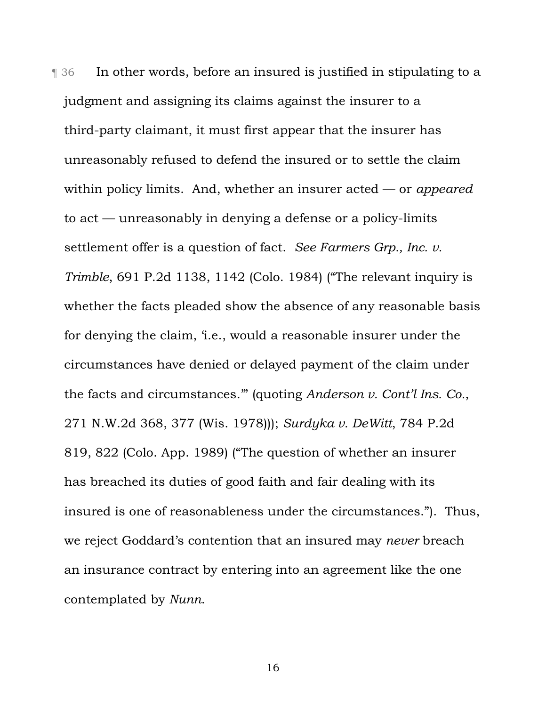¶ 36 In other words, before an insured is justified in stipulating to a judgment and assigning its claims against the insurer to a third-party claimant, it must first appear that the insurer has unreasonably refused to defend the insured or to settle the claim within policy limits. And, whether an insurer acted — or *appeared* to act — unreasonably in denying a defense or a policy-limits settlement offer is a question of fact. *See Farmers Grp., Inc. v. Trimble*, 691 P.2d 1138, 1142 (Colo. 1984) ("The relevant inquiry is whether the facts pleaded show the absence of any reasonable basis for denying the claim, 'i.e., would a reasonable insurer under the circumstances have denied or delayed payment of the claim under the facts and circumstances.'" (quoting *Anderson v. Cont'l Ins. Co.*, 271 N.W.2d 368, 377 (Wis. 1978))); *Surdyka v. DeWitt*, 784 P.2d 819, 822 (Colo. App. 1989) ("The question of whether an insurer has breached its duties of good faith and fair dealing with its insured is one of reasonableness under the circumstances."). Thus, we reject Goddard's contention that an insured may *never* breach an insurance contract by entering into an agreement like the one contemplated by *Nunn*.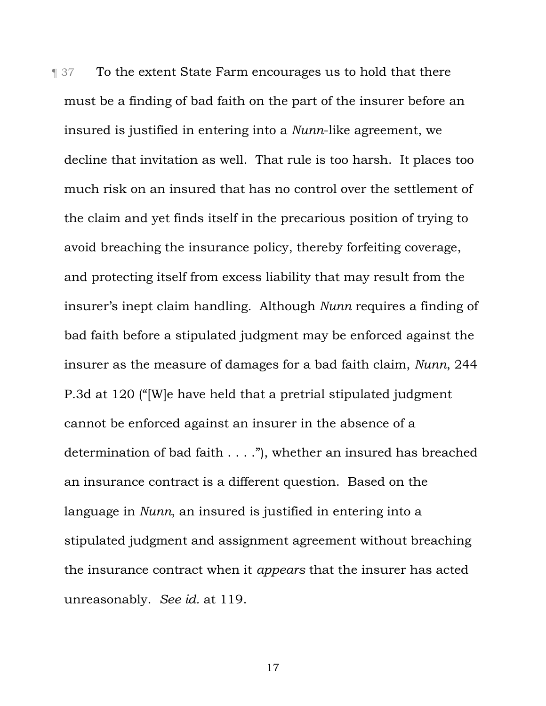**The 1978** To the extent State Farm encourages us to hold that there must be a finding of bad faith on the part of the insurer before an insured is justified in entering into a *Nunn*-like agreement, we decline that invitation as well. That rule is too harsh. It places too much risk on an insured that has no control over the settlement of the claim and yet finds itself in the precarious position of trying to avoid breaching the insurance policy, thereby forfeiting coverage, and protecting itself from excess liability that may result from the insurer's inept claim handling. Although *Nunn* requires a finding of bad faith before a stipulated judgment may be enforced against the insurer as the measure of damages for a bad faith claim, *Nunn*, 244 P.3d at 120 ("[W]e have held that a pretrial stipulated judgment cannot be enforced against an insurer in the absence of a determination of bad faith . . . ."), whether an insured has breached an insurance contract is a different question. Based on the language in *Nunn*, an insured is justified in entering into a stipulated judgment and assignment agreement without breaching the insurance contract when it *appears* that the insurer has acted unreasonably. *See id.* at 119.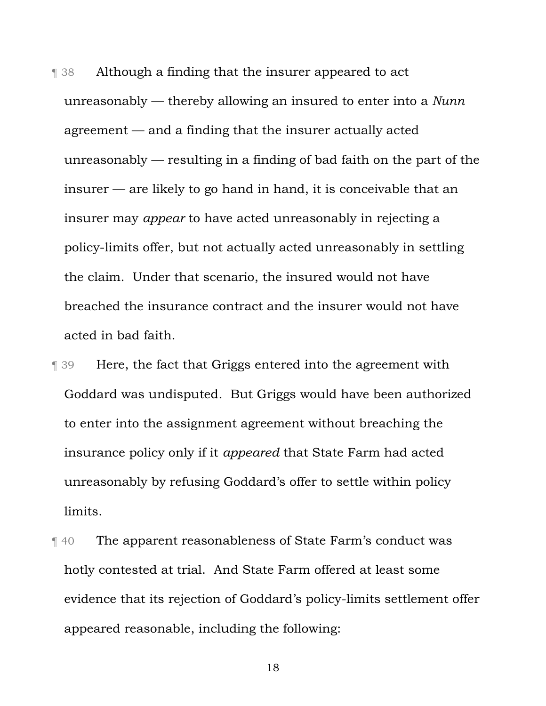**The 38** Although a finding that the insurer appeared to act unreasonably — thereby allowing an insured to enter into a *Nunn*  agreement — and a finding that the insurer actually acted unreasonably — resulting in a finding of bad faith on the part of the insurer — are likely to go hand in hand, it is conceivable that an insurer may *appear* to have acted unreasonably in rejecting a policy-limits offer, but not actually acted unreasonably in settling the claim. Under that scenario, the insured would not have breached the insurance contract and the insurer would not have acted in bad faith.

¶ 39 Here, the fact that Griggs entered into the agreement with Goddard was undisputed. But Griggs would have been authorized to enter into the assignment agreement without breaching the insurance policy only if it *appeared* that State Farm had acted unreasonably by refusing Goddard's offer to settle within policy limits.

¶ 40 The apparent reasonableness of State Farm's conduct was hotly contested at trial. And State Farm offered at least some evidence that its rejection of Goddard's policy-limits settlement offer appeared reasonable, including the following: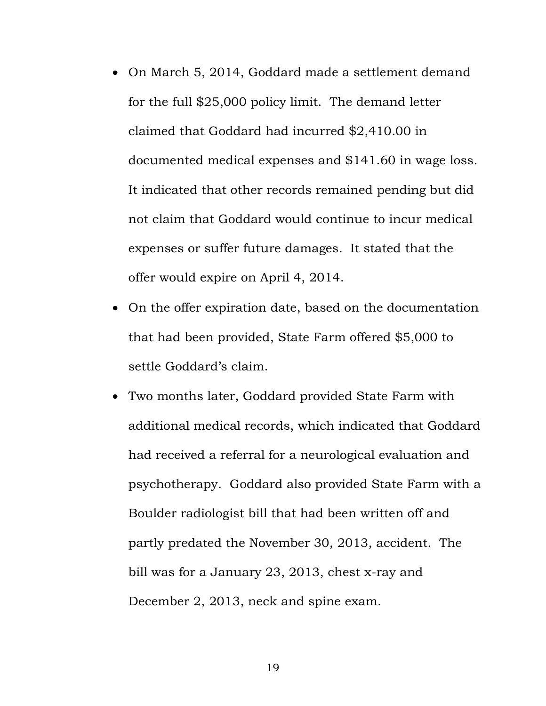- On March 5, 2014, Goddard made a settlement demand for the full \$25,000 policy limit. The demand letter claimed that Goddard had incurred \$2,410.00 in documented medical expenses and \$141.60 in wage loss. It indicated that other records remained pending but did not claim that Goddard would continue to incur medical expenses or suffer future damages. It stated that the offer would expire on April 4, 2014.
- On the offer expiration date, based on the documentation that had been provided, State Farm offered \$5,000 to settle Goddard's claim.
- Two months later, Goddard provided State Farm with additional medical records, which indicated that Goddard had received a referral for a neurological evaluation and psychotherapy. Goddard also provided State Farm with a Boulder radiologist bill that had been written off and partly predated the November 30, 2013, accident. The bill was for a January 23, 2013, chest x-ray and December 2, 2013, neck and spine exam.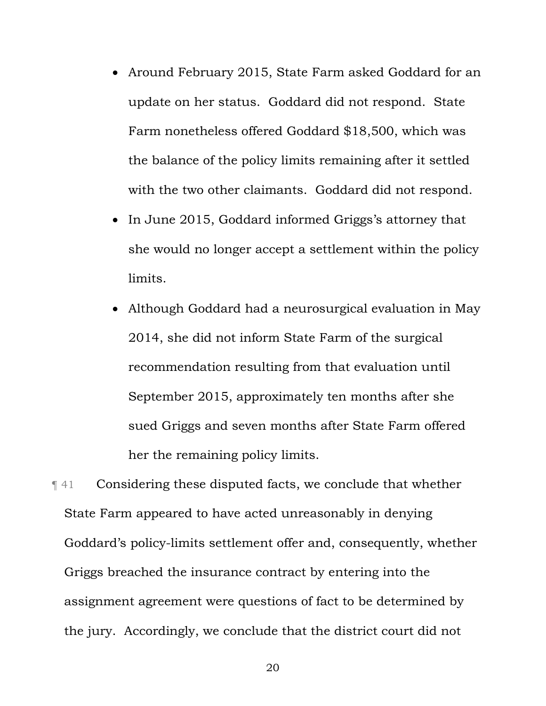- Around February 2015, State Farm asked Goddard for an update on her status. Goddard did not respond. State Farm nonetheless offered Goddard \$18,500, which was the balance of the policy limits remaining after it settled with the two other claimants. Goddard did not respond.
- In June 2015, Goddard informed Griggs's attorney that she would no longer accept a settlement within the policy limits.
- Although Goddard had a neurosurgical evaluation in May 2014, she did not inform State Farm of the surgical recommendation resulting from that evaluation until September 2015, approximately ten months after she sued Griggs and seven months after State Farm offered her the remaining policy limits.

¶ 41 Considering these disputed facts, we conclude that whether State Farm appeared to have acted unreasonably in denying Goddard's policy-limits settlement offer and, consequently, whether Griggs breached the insurance contract by entering into the assignment agreement were questions of fact to be determined by the jury. Accordingly, we conclude that the district court did not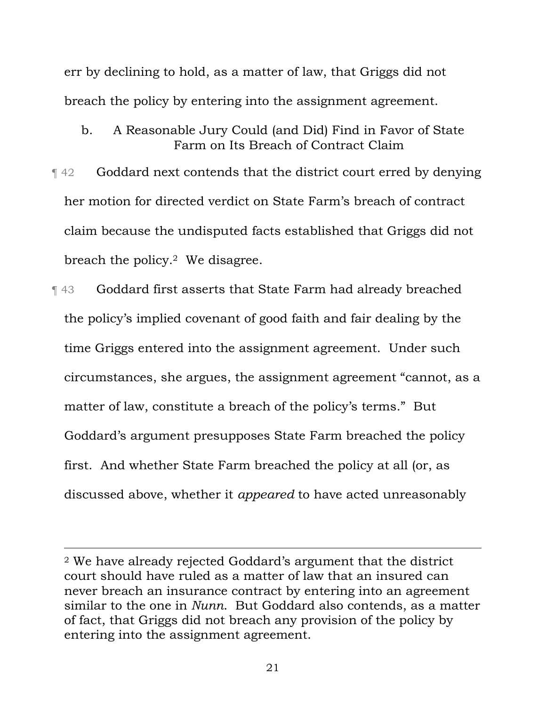err by declining to hold, as a matter of law, that Griggs did not breach the policy by entering into the assignment agreement.

- b. A Reasonable Jury Could (and Did) Find in Favor of State Farm on Its Breach of Contract Claim
- ¶ 42 Goddard next contends that the district court erred by denying her motion for directed verdict on State Farm's breach of contract claim because the undisputed facts established that Griggs did not breach the policy.2 We disagree.
- ¶ 43 Goddard first asserts that State Farm had already breached the policy's implied covenant of good faith and fair dealing by the time Griggs entered into the assignment agreement. Under such circumstances, she argues, the assignment agreement "cannot, as a matter of law, constitute a breach of the policy's terms." But Goddard's argument presupposes State Farm breached the policy first. And whether State Farm breached the policy at all (or, as discussed above, whether it *appeared* to have acted unreasonably

 <sup>2</sup> We have already rejected Goddard's argument that the district court should have ruled as a matter of law that an insured can never breach an insurance contract by entering into an agreement similar to the one in *Nunn*. But Goddard also contends, as a matter of fact, that Griggs did not breach any provision of the policy by entering into the assignment agreement.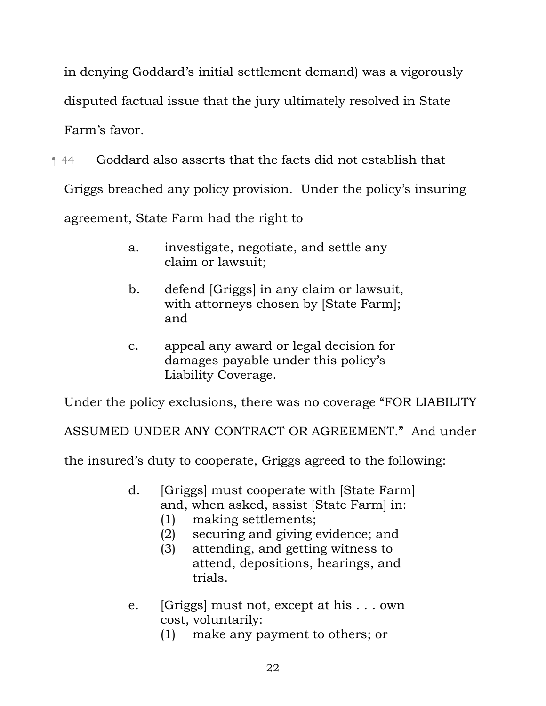in denying Goddard's initial settlement demand) was a vigorously disputed factual issue that the jury ultimately resolved in State Farm's favor.

¶ 44 Goddard also asserts that the facts did not establish that

Griggs breached any policy provision. Under the policy's insuring

agreement, State Farm had the right to

- a. investigate, negotiate, and settle any claim or lawsuit;
- b. defend [Griggs] in any claim or lawsuit, with attorneys chosen by [State Farm]; and
- c. appeal any award or legal decision for damages payable under this policy's Liability Coverage.

Under the policy exclusions, there was no coverage "FOR LIABILITY

ASSUMED UNDER ANY CONTRACT OR AGREEMENT." And under

the insured's duty to cooperate, Griggs agreed to the following:

- d. [Griggs] must cooperate with [State Farm] and, when asked, assist [State Farm] in:
	- (1) making settlements;
	- (2) securing and giving evidence; and
	- (3) attending, and getting witness to attend, depositions, hearings, and trials.
- e. [Griggs] must not, except at his . . . own cost, voluntarily:
	- (1) make any payment to others; or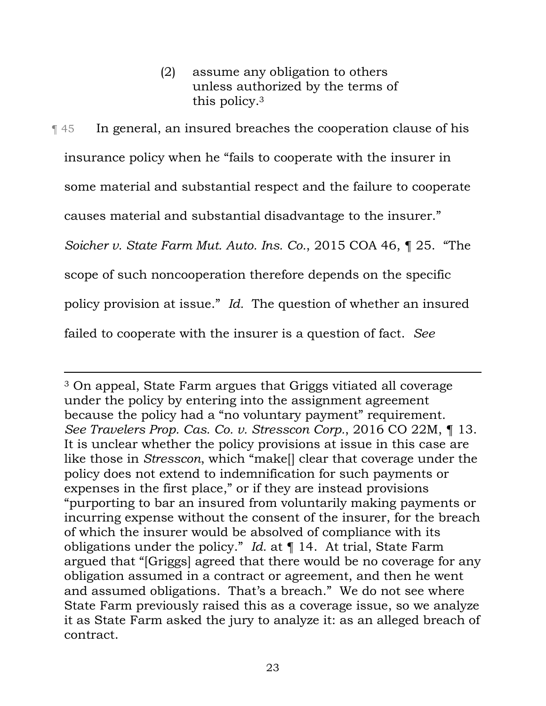(2) assume any obligation to others unless authorized by the terms of this policy.3

¶ 45 In general, an insured breaches the cooperation clause of his insurance policy when he "fails to cooperate with the insurer in some material and substantial respect and the failure to cooperate causes material and substantial disadvantage to the insurer." *Soicher v. State Farm Mut. Auto. Ins. Co.*, 2015 COA 46, ¶ 25. "The scope of such noncooperation therefore depends on the specific policy provision at issue." *Id.* The question of whether an insured failed to cooperate with the insurer is a question of fact. *See* 

 3 On appeal, State Farm argues that Griggs vitiated all coverage under the policy by entering into the assignment agreement because the policy had a "no voluntary payment" requirement. *See Travelers Prop. Cas. Co. v. Stresscon Corp.*, 2016 CO 22M, ¶ 13. It is unclear whether the policy provisions at issue in this case are like those in *Stresscon*, which "make[] clear that coverage under the policy does not extend to indemnification for such payments or expenses in the first place," or if they are instead provisions "purporting to bar an insured from voluntarily making payments or incurring expense without the consent of the insurer, for the breach of which the insurer would be absolved of compliance with its obligations under the policy." *Id.* at ¶ 14. At trial, State Farm argued that "[Griggs] agreed that there would be no coverage for any obligation assumed in a contract or agreement, and then he went and assumed obligations. That's a breach." We do not see where State Farm previously raised this as a coverage issue, so we analyze it as State Farm asked the jury to analyze it: as an alleged breach of contract.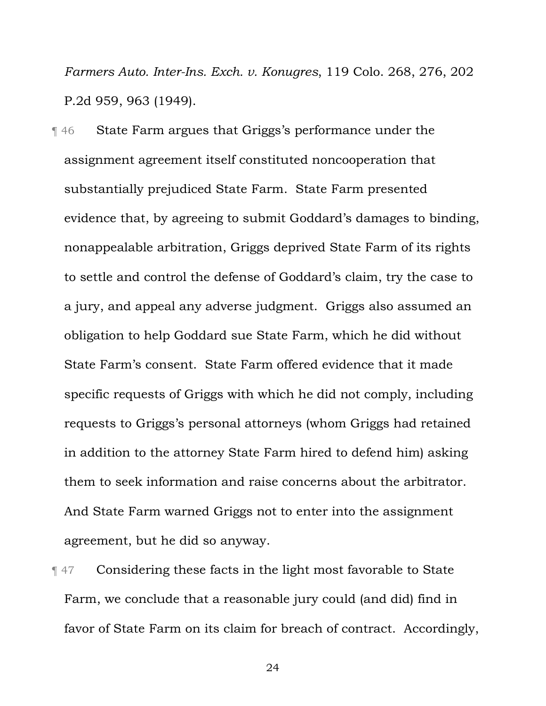*Farmers Auto. Inter-Ins. Exch. v. Konugres*, 119 Colo. 268, 276, 202 P.2d 959, 963 (1949).

¶ 46 State Farm argues that Griggs's performance under the assignment agreement itself constituted noncooperation that substantially prejudiced State Farm. State Farm presented evidence that, by agreeing to submit Goddard's damages to binding, nonappealable arbitration, Griggs deprived State Farm of its rights to settle and control the defense of Goddard's claim, try the case to a jury, and appeal any adverse judgment. Griggs also assumed an obligation to help Goddard sue State Farm, which he did without State Farm's consent. State Farm offered evidence that it made specific requests of Griggs with which he did not comply, including requests to Griggs's personal attorneys (whom Griggs had retained in addition to the attorney State Farm hired to defend him) asking them to seek information and raise concerns about the arbitrator. And State Farm warned Griggs not to enter into the assignment agreement, but he did so anyway.

¶ 47 Considering these facts in the light most favorable to State Farm, we conclude that a reasonable jury could (and did) find in favor of State Farm on its claim for breach of contract. Accordingly,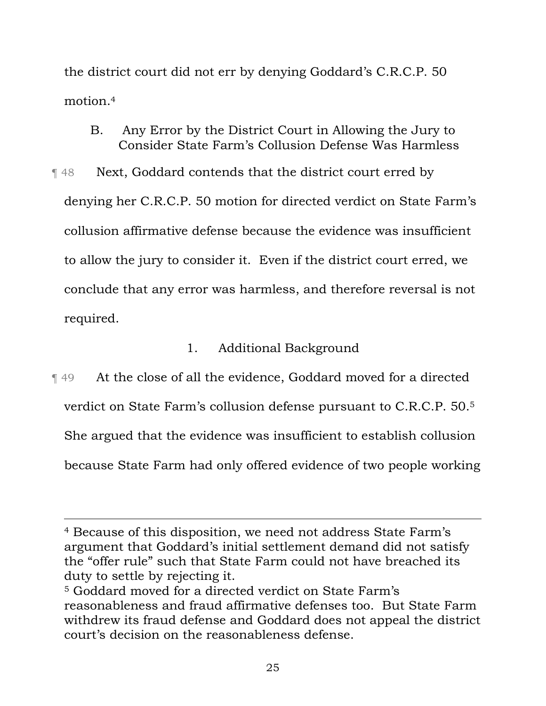the district court did not err by denying Goddard's C.R.C.P. 50 motion.4

- B. Any Error by the District Court in Allowing the Jury to Consider State Farm's Collusion Defense Was Harmless
- **The 48** Next, Goddard contends that the district court erred by denying her C.R.C.P. 50 motion for directed verdict on State Farm's collusion affirmative defense because the evidence was insufficient to allow the jury to consider it. Even if the district court erred, we conclude that any error was harmless, and therefore reversal is not required.

# 1. Additional Background

¶ 49 At the close of all the evidence, Goddard moved for a directed verdict on State Farm's collusion defense pursuant to C.R.C.P. 50.5 She argued that the evidence was insufficient to establish collusion because State Farm had only offered evidence of two people working

 <sup>4</sup> Because of this disposition, we need not address State Farm's argument that Goddard's initial settlement demand did not satisfy the "offer rule" such that State Farm could not have breached its duty to settle by rejecting it.

<sup>5</sup> Goddard moved for a directed verdict on State Farm's reasonableness and fraud affirmative defenses too. But State Farm withdrew its fraud defense and Goddard does not appeal the district court's decision on the reasonableness defense.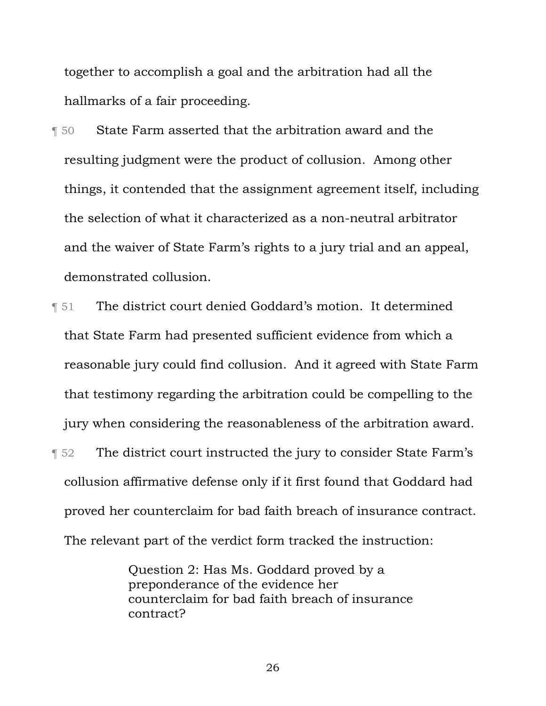together to accomplish a goal and the arbitration had all the hallmarks of a fair proceeding.

- ¶ 50 State Farm asserted that the arbitration award and the resulting judgment were the product of collusion. Among other things, it contended that the assignment agreement itself, including the selection of what it characterized as a non-neutral arbitrator and the waiver of State Farm's rights to a jury trial and an appeal, demonstrated collusion.
- ¶ 51 The district court denied Goddard's motion. It determined that State Farm had presented sufficient evidence from which a reasonable jury could find collusion. And it agreed with State Farm that testimony regarding the arbitration could be compelling to the jury when considering the reasonableness of the arbitration award. **The district court instructed the jury to consider State Farm's**
- collusion affirmative defense only if it first found that Goddard had proved her counterclaim for bad faith breach of insurance contract. The relevant part of the verdict form tracked the instruction:

Question 2: Has Ms. Goddard proved by a preponderance of the evidence her counterclaim for bad faith breach of insurance contract?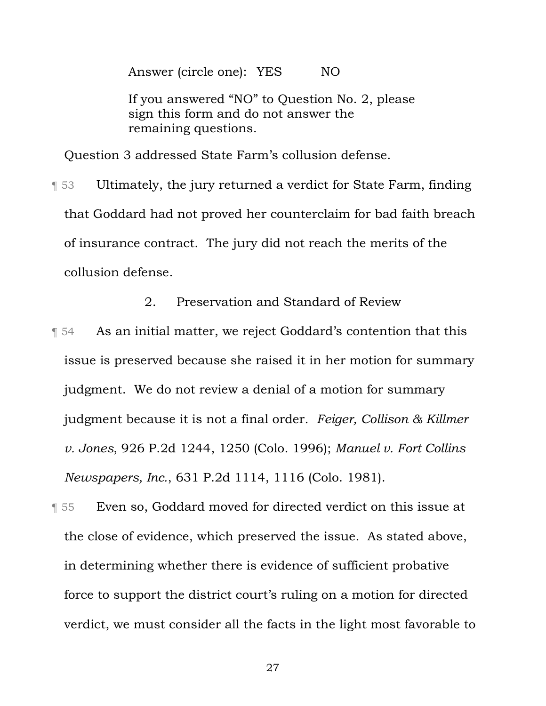Answer (circle one): YES NO

If you answered "NO" to Question No. 2, please sign this form and do not answer the remaining questions.

Question 3 addressed State Farm's collusion defense.

¶ 53 Ultimately, the jury returned a verdict for State Farm, finding that Goddard had not proved her counterclaim for bad faith breach of insurance contract. The jury did not reach the merits of the collusion defense.

2. Preservation and Standard of Review

**T** 54 As an initial matter, we reject Goddard's contention that this issue is preserved because she raised it in her motion for summary judgment. We do not review a denial of a motion for summary judgment because it is not a final order. *Feiger, Collison & Killmer v. Jones*, 926 P.2d 1244, 1250 (Colo. 1996); *Manuel v. Fort Collins Newspapers, Inc.*, 631 P.2d 1114, 1116 (Colo. 1981).

¶ 55 Even so, Goddard moved for directed verdict on this issue at the close of evidence, which preserved the issue. As stated above, in determining whether there is evidence of sufficient probative force to support the district court's ruling on a motion for directed verdict, we must consider all the facts in the light most favorable to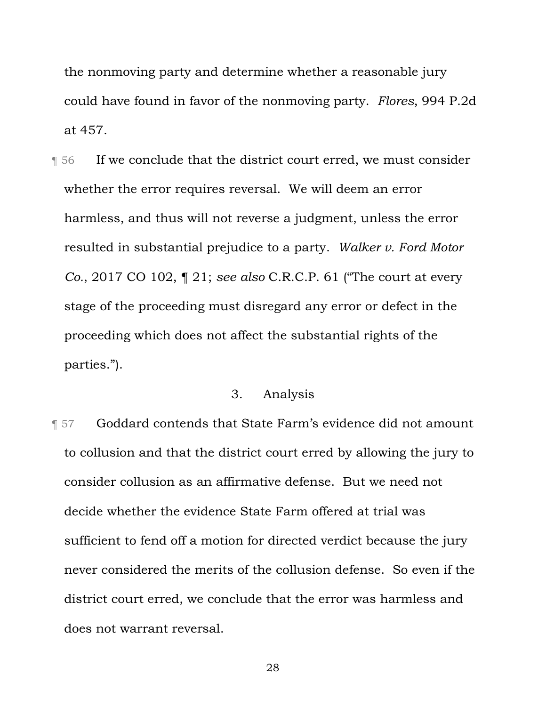the nonmoving party and determine whether a reasonable jury could have found in favor of the nonmoving party. *Flores*, 994 P.2d at 457.

¶ 56 If we conclude that the district court erred, we must consider whether the error requires reversal. We will deem an error harmless, and thus will not reverse a judgment, unless the error resulted in substantial prejudice to a party. *Walker v. Ford Motor Co.*, 2017 CO 102, ¶ 21; *see also* C.R.C.P. 61 ("The court at every stage of the proceeding must disregard any error or defect in the proceeding which does not affect the substantial rights of the parties.").

## 3. Analysis

¶ 57 Goddard contends that State Farm's evidence did not amount to collusion and that the district court erred by allowing the jury to consider collusion as an affirmative defense. But we need not decide whether the evidence State Farm offered at trial was sufficient to fend off a motion for directed verdict because the jury never considered the merits of the collusion defense. So even if the district court erred, we conclude that the error was harmless and does not warrant reversal.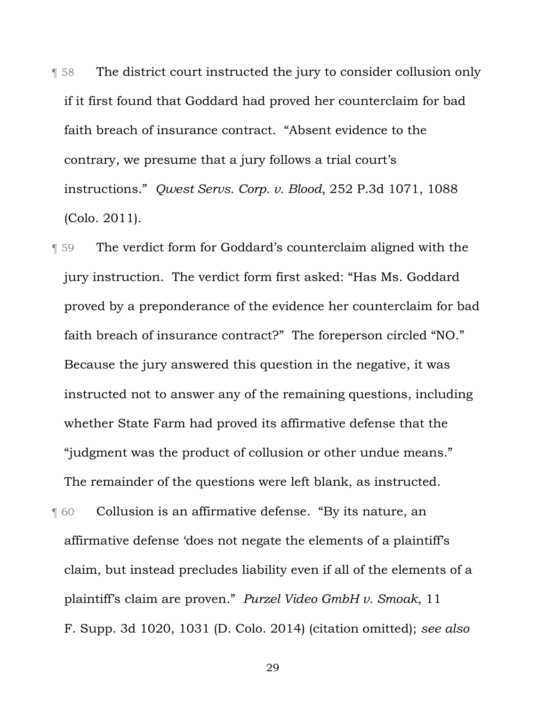¶ 58 The district court instructed the jury to consider collusion only if it first found that Goddard had proved her counterclaim for bad faith breach of insurance contract. "Absent evidence to the contrary, we presume that a jury follows a trial court's instructions." *Qwest Servs. Corp. v. Blood*, 252 P.3d 1071, 1088 (Colo. 2011).

¶ 59 The verdict form for Goddard's counterclaim aligned with the jury instruction. The verdict form first asked: "Has Ms. Goddard proved by a preponderance of the evidence her counterclaim for bad faith breach of insurance contract?" The foreperson circled "NO." Because the jury answered this question in the negative, it was instructed not to answer any of the remaining questions, including whether State Farm had proved its affirmative defense that the "judgment was the product of collusion or other undue means." The remainder of the questions were left blank, as instructed.

**The Collusion is an affirmative defense. "By its nature, an** affirmative defense 'does not negate the elements of a plaintiff's claim, but instead precludes liability even if all of the elements of a plaintiff's claim are proven." *Purzel Video GmbH v. Smoak*, 11 F. Supp. 3d 1020, 1031 (D. Colo. 2014) (citation omitted); *see also*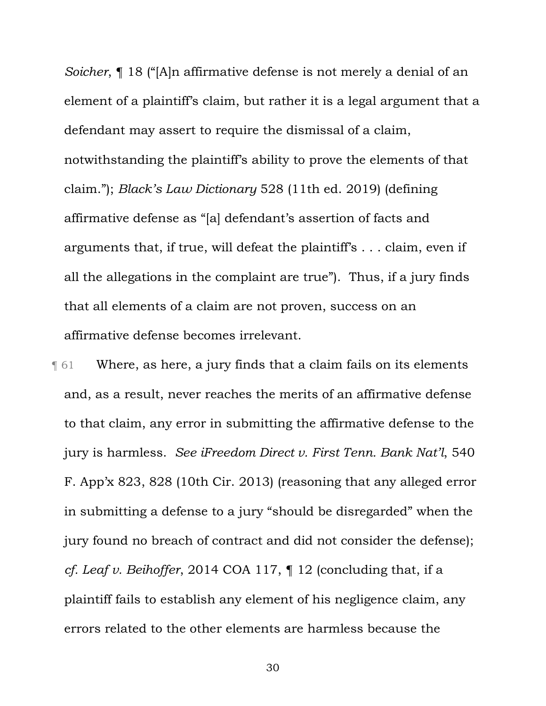*Soicher*, ¶ 18 ("[A]n affirmative defense is not merely a denial of an element of a plaintiff's claim, but rather it is a legal argument that a defendant may assert to require the dismissal of a claim, notwithstanding the plaintiff's ability to prove the elements of that claim."); *Black's Law Dictionary* 528 (11th ed. 2019) (defining affirmative defense as "[a] defendant's assertion of facts and arguments that, if true, will defeat the plaintiff's . . . claim, even if all the allegations in the complaint are true"). Thus, if a jury finds that all elements of a claim are not proven, success on an affirmative defense becomes irrelevant.

 $\lceil 61 \rceil$  Where, as here, a jury finds that a claim fails on its elements and, as a result, never reaches the merits of an affirmative defense to that claim, any error in submitting the affirmative defense to the jury is harmless. *See iFreedom Direct v. First Tenn. Bank Nat'l*, 540 F. App'x 823, 828 (10th Cir. 2013) (reasoning that any alleged error in submitting a defense to a jury "should be disregarded" when the jury found no breach of contract and did not consider the defense); *cf. Leaf v. Beihoffer*, 2014 COA 117, ¶ 12 (concluding that, if a plaintiff fails to establish any element of his negligence claim, any errors related to the other elements are harmless because the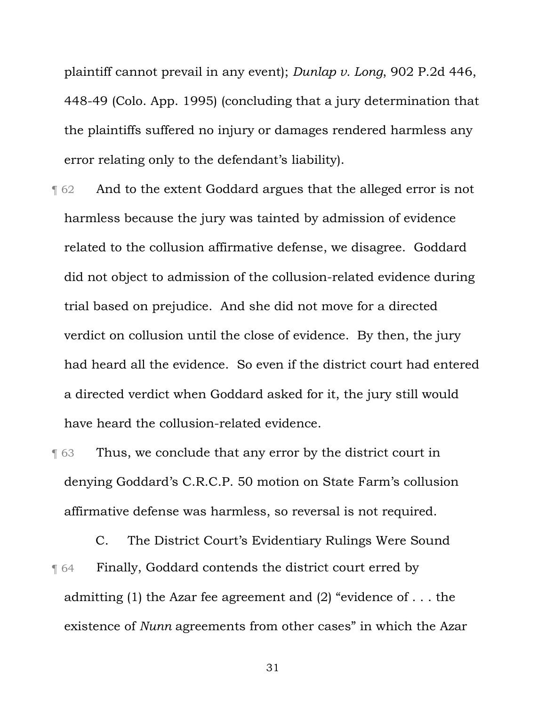plaintiff cannot prevail in any event); *Dunlap v. Long*, 902 P.2d 446, 448-49 (Colo. App. 1995) (concluding that a jury determination that the plaintiffs suffered no injury or damages rendered harmless any error relating only to the defendant's liability).

- **T** 62 And to the extent Goddard argues that the alleged error is not harmless because the jury was tainted by admission of evidence related to the collusion affirmative defense, we disagree. Goddard did not object to admission of the collusion-related evidence during trial based on prejudice. And she did not move for a directed verdict on collusion until the close of evidence. By then, the jury had heard all the evidence. So even if the district court had entered a directed verdict when Goddard asked for it, the jury still would have heard the collusion-related evidence.
- **Thus, we conclude that any error by the district court in** denying Goddard's C.R.C.P. 50 motion on State Farm's collusion affirmative defense was harmless, so reversal is not required.

C. The District Court's Evidentiary Rulings Were Sound **Finally, Goddard contends the district court erred by** admitting (1) the Azar fee agreement and (2) "evidence of . . . the existence of *Nunn* agreements from other cases" in which the Azar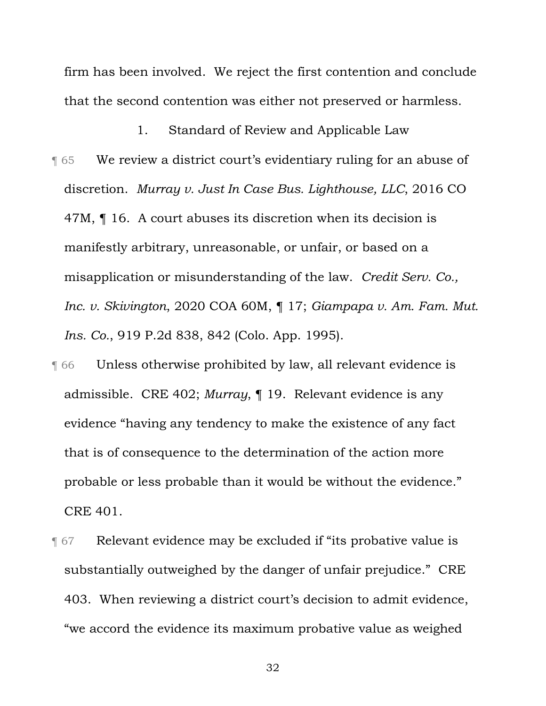firm has been involved. We reject the first contention and conclude that the second contention was either not preserved or harmless.

1. Standard of Review and Applicable Law

- ¶ 65 We review a district court's evidentiary ruling for an abuse of discretion. *Murray v. Just In Case Bus. Lighthouse, LLC*, 2016 CO 47M,  $\P$  16. A court abuses its discretion when its decision is manifestly arbitrary, unreasonable, or unfair, or based on a misapplication or misunderstanding of the law. *Credit Serv. Co., Inc. v. Skivington*, 2020 COA 60M, ¶ 17; *Giampapa v. Am. Fam. Mut. Ins. Co.*, 919 P.2d 838, 842 (Colo. App. 1995).
- ¶ 66 Unless otherwise prohibited by law, all relevant evidence is admissible. CRE 402; *Murray*, ¶ 19. Relevant evidence is any evidence "having any tendency to make the existence of any fact that is of consequence to the determination of the action more probable or less probable than it would be without the evidence." CRE 401.
- ¶ 67 Relevant evidence may be excluded if "its probative value is substantially outweighed by the danger of unfair prejudice." CRE 403. When reviewing a district court's decision to admit evidence, "we accord the evidence its maximum probative value as weighed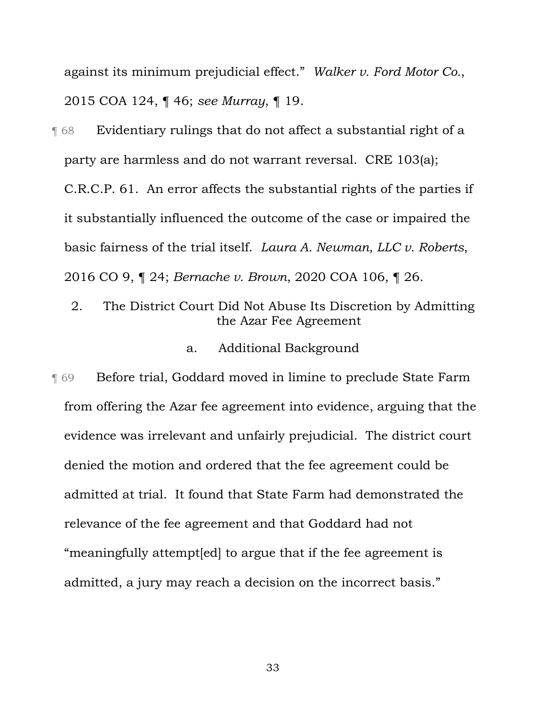against its minimum prejudicial effect." *Walker v. Ford Motor Co.*, 2015 COA 124, ¶ 46; *see Murray*, ¶ 19.

¶ 68 Evidentiary rulings that do not affect a substantial right of a party are harmless and do not warrant reversal. CRE 103(a); C.R.C.P. 61. An error affects the substantial rights of the parties if it substantially influenced the outcome of the case or impaired the basic fairness of the trial itself. *Laura A. Newman, LLC v. Roberts*, 2016 CO 9, ¶ 24; *Bernache v. Brown*, 2020 COA 106, ¶ 26.

2. The District Court Did Not Abuse Its Discretion by Admitting the Azar Fee Agreement

### a. Additional Background

¶ 69 Before trial, Goddard moved in limine to preclude State Farm from offering the Azar fee agreement into evidence, arguing that the evidence was irrelevant and unfairly prejudicial. The district court denied the motion and ordered that the fee agreement could be admitted at trial. It found that State Farm had demonstrated the relevance of the fee agreement and that Goddard had not "meaningfully attempt[ed] to argue that if the fee agreement is admitted, a jury may reach a decision on the incorrect basis."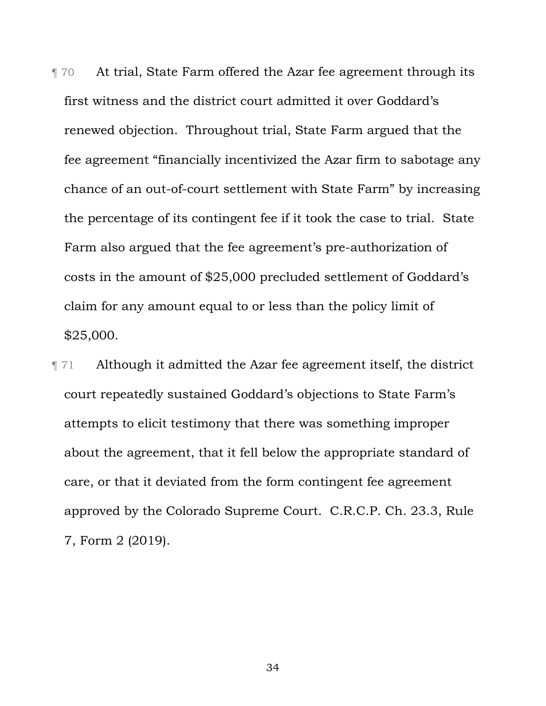¶ 70 At trial, State Farm offered the Azar fee agreement through its first witness and the district court admitted it over Goddard's renewed objection. Throughout trial, State Farm argued that the fee agreement "financially incentivized the Azar firm to sabotage any chance of an out-of-court settlement with State Farm" by increasing the percentage of its contingent fee if it took the case to trial. State Farm also argued that the fee agreement's pre-authorization of costs in the amount of \$25,000 precluded settlement of Goddard's claim for any amount equal to or less than the policy limit of \$25,000.

¶ 71 Although it admitted the Azar fee agreement itself, the district court repeatedly sustained Goddard's objections to State Farm's attempts to elicit testimony that there was something improper about the agreement, that it fell below the appropriate standard of care, or that it deviated from the form contingent fee agreement approved by the Colorado Supreme Court. C.R.C.P. Ch. 23.3, Rule 7, Form 2 (2019).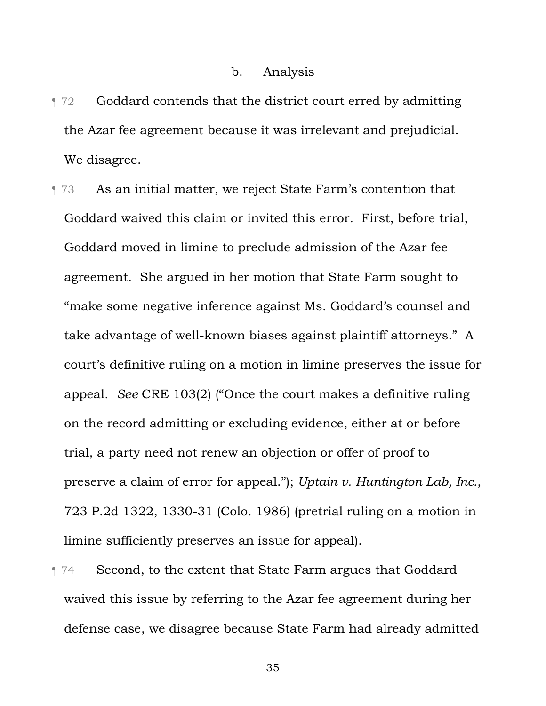### b. Analysis

- ¶ 72 Goddard contends that the district court erred by admitting the Azar fee agreement because it was irrelevant and prejudicial. We disagree.
- **The 3 As an initial matter, we reject State Farm's contention that** Goddard waived this claim or invited this error. First, before trial, Goddard moved in limine to preclude admission of the Azar fee agreement. She argued in her motion that State Farm sought to "make some negative inference against Ms. Goddard's counsel and take advantage of well-known biases against plaintiff attorneys." A court's definitive ruling on a motion in limine preserves the issue for appeal. *See* CRE 103(2) ("Once the court makes a definitive ruling on the record admitting or excluding evidence, either at or before trial, a party need not renew an objection or offer of proof to preserve a claim of error for appeal."); *Uptain v. Huntington Lab, Inc.*, 723 P.2d 1322, 1330-31 (Colo. 1986) (pretrial ruling on a motion in limine sufficiently preserves an issue for appeal).
- **The Second, to the extent that State Farm argues that Goddard** waived this issue by referring to the Azar fee agreement during her defense case, we disagree because State Farm had already admitted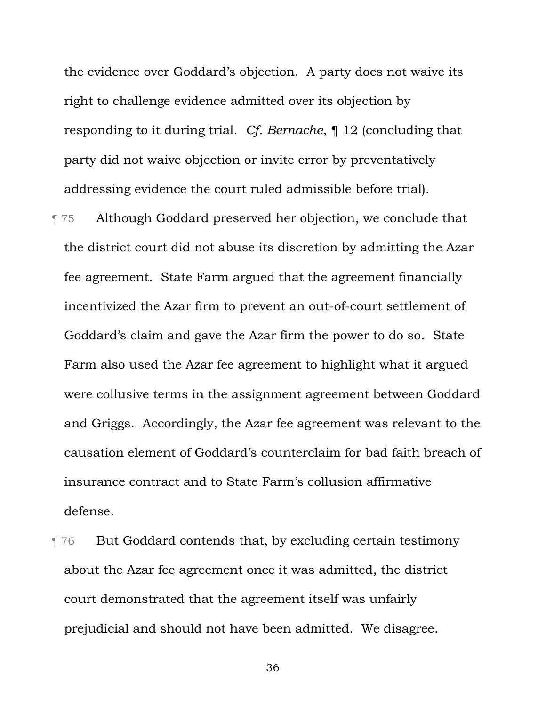the evidence over Goddard's objection. A party does not waive its right to challenge evidence admitted over its objection by responding to it during trial. *Cf. Bernache*, ¶ 12 (concluding that party did not waive objection or invite error by preventatively addressing evidence the court ruled admissible before trial).

- ¶ 75 Although Goddard preserved her objection, we conclude that the district court did not abuse its discretion by admitting the Azar fee agreement. State Farm argued that the agreement financially incentivized the Azar firm to prevent an out-of-court settlement of Goddard's claim and gave the Azar firm the power to do so. State Farm also used the Azar fee agreement to highlight what it argued were collusive terms in the assignment agreement between Goddard and Griggs. Accordingly, the Azar fee agreement was relevant to the causation element of Goddard's counterclaim for bad faith breach of insurance contract and to State Farm's collusion affirmative defense.
- **The Put Goddard contends that, by excluding certain testimony** about the Azar fee agreement once it was admitted, the district court demonstrated that the agreement itself was unfairly prejudicial and should not have been admitted. We disagree.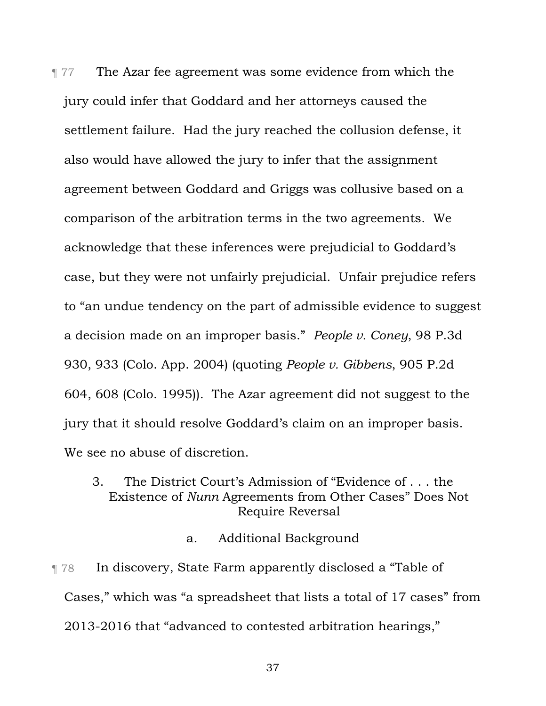¶ 77 The Azar fee agreement was some evidence from which the jury could infer that Goddard and her attorneys caused the settlement failure. Had the jury reached the collusion defense, it also would have allowed the jury to infer that the assignment agreement between Goddard and Griggs was collusive based on a comparison of the arbitration terms in the two agreements. We acknowledge that these inferences were prejudicial to Goddard's case, but they were not unfairly prejudicial. Unfair prejudice refers to "an undue tendency on the part of admissible evidence to suggest a decision made on an improper basis." *People v. Coney*, 98 P.3d 930, 933 (Colo. App. 2004) (quoting *People v. Gibbens*, 905 P.2d 604, 608 (Colo. 1995)). The Azar agreement did not suggest to the jury that it should resolve Goddard's claim on an improper basis. We see no abuse of discretion.

## 3. The District Court's Admission of "Evidence of . . . the Existence of *Nunn* Agreements from Other Cases" Does Not Require Reversal

### a. Additional Background

¶ 78 In discovery, State Farm apparently disclosed a "Table of Cases," which was "a spreadsheet that lists a total of 17 cases" from 2013-2016 that "advanced to contested arbitration hearings,"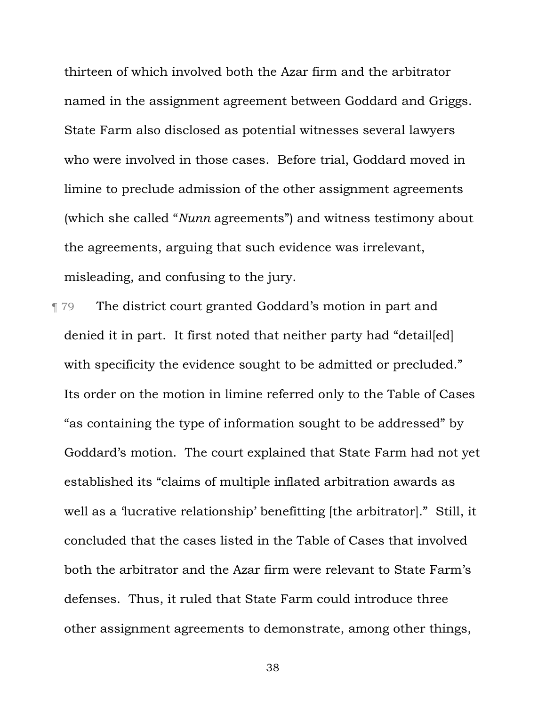thirteen of which involved both the Azar firm and the arbitrator named in the assignment agreement between Goddard and Griggs. State Farm also disclosed as potential witnesses several lawyers who were involved in those cases. Before trial, Goddard moved in limine to preclude admission of the other assignment agreements (which she called "*Nunn* agreements") and witness testimony about the agreements, arguing that such evidence was irrelevant, misleading, and confusing to the jury.

**The district court granted Goddard's motion in part and** denied it in part. It first noted that neither party had "detailed] with specificity the evidence sought to be admitted or precluded." Its order on the motion in limine referred only to the Table of Cases "as containing the type of information sought to be addressed" by Goddard's motion. The court explained that State Farm had not yet established its "claims of multiple inflated arbitration awards as well as a 'lucrative relationship' benefitting [the arbitrator]." Still, it concluded that the cases listed in the Table of Cases that involved both the arbitrator and the Azar firm were relevant to State Farm's defenses. Thus, it ruled that State Farm could introduce three other assignment agreements to demonstrate, among other things,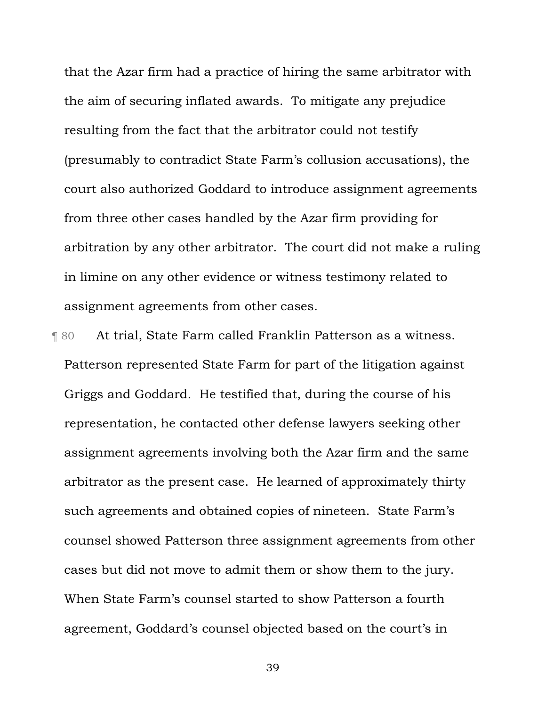that the Azar firm had a practice of hiring the same arbitrator with the aim of securing inflated awards. To mitigate any prejudice resulting from the fact that the arbitrator could not testify (presumably to contradict State Farm's collusion accusations), the court also authorized Goddard to introduce assignment agreements from three other cases handled by the Azar firm providing for arbitration by any other arbitrator. The court did not make a ruling in limine on any other evidence or witness testimony related to assignment agreements from other cases.

¶ 80 At trial, State Farm called Franklin Patterson as a witness. Patterson represented State Farm for part of the litigation against Griggs and Goddard. He testified that, during the course of his representation, he contacted other defense lawyers seeking other assignment agreements involving both the Azar firm and the same arbitrator as the present case. He learned of approximately thirty such agreements and obtained copies of nineteen. State Farm's counsel showed Patterson three assignment agreements from other cases but did not move to admit them or show them to the jury. When State Farm's counsel started to show Patterson a fourth agreement, Goddard's counsel objected based on the court's in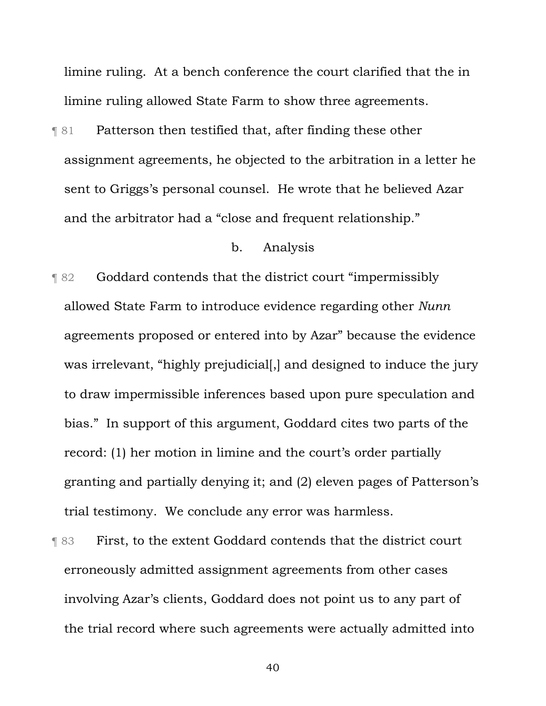limine ruling. At a bench conference the court clarified that the in limine ruling allowed State Farm to show three agreements.

¶ 81 Patterson then testified that, after finding these other assignment agreements, he objected to the arbitration in a letter he sent to Griggs's personal counsel. He wrote that he believed Azar and the arbitrator had a "close and frequent relationship."

### b. Analysis

¶ 82 Goddard contends that the district court "impermissibly allowed State Farm to introduce evidence regarding other *Nunn*  agreements proposed or entered into by Azar" because the evidence was irrelevant, "highly prejudicial[,] and designed to induce the jury to draw impermissible inferences based upon pure speculation and bias." In support of this argument, Goddard cites two parts of the record: (1) her motion in limine and the court's order partially granting and partially denying it; and (2) eleven pages of Patterson's trial testimony. We conclude any error was harmless.

¶ 83 First, to the extent Goddard contends that the district court erroneously admitted assignment agreements from other cases involving Azar's clients, Goddard does not point us to any part of the trial record where such agreements were actually admitted into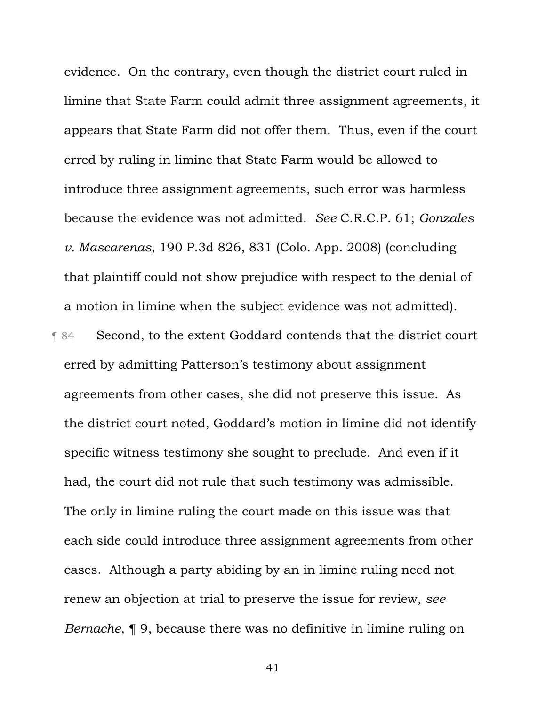evidence. On the contrary, even though the district court ruled in limine that State Farm could admit three assignment agreements, it appears that State Farm did not offer them. Thus, even if the court erred by ruling in limine that State Farm would be allowed to introduce three assignment agreements, such error was harmless because the evidence was not admitted. *See* C.R.C.P. 61; *Gonzales v. Mascarenas*, 190 P.3d 826, 831 (Colo. App. 2008) (concluding that plaintiff could not show prejudice with respect to the denial of a motion in limine when the subject evidence was not admitted). ¶ 84 Second, to the extent Goddard contends that the district court erred by admitting Patterson's testimony about assignment agreements from other cases, she did not preserve this issue. As the district court noted, Goddard's motion in limine did not identify specific witness testimony she sought to preclude. And even if it had, the court did not rule that such testimony was admissible. The only in limine ruling the court made on this issue was that each side could introduce three assignment agreements from other cases. Although a party abiding by an in limine ruling need not renew an objection at trial to preserve the issue for review, *see Bernache*, ¶ 9, because there was no definitive in limine ruling on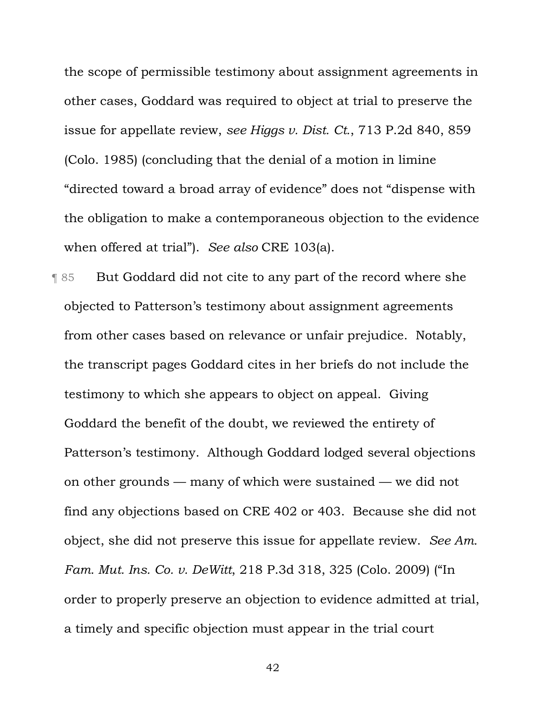the scope of permissible testimony about assignment agreements in other cases, Goddard was required to object at trial to preserve the issue for appellate review, *see Higgs v. Dist. Ct.*, 713 P.2d 840, 859 (Colo. 1985) (concluding that the denial of a motion in limine "directed toward a broad array of evidence" does not "dispense with the obligation to make a contemporaneous objection to the evidence when offered at trial"). *See also* CRE 103(a).

¶ 85 But Goddard did not cite to any part of the record where she objected to Patterson's testimony about assignment agreements from other cases based on relevance or unfair prejudice. Notably, the transcript pages Goddard cites in her briefs do not include the testimony to which she appears to object on appeal. Giving Goddard the benefit of the doubt, we reviewed the entirety of Patterson's testimony. Although Goddard lodged several objections on other grounds — many of which were sustained — we did not find any objections based on CRE 402 or 403. Because she did not object, she did not preserve this issue for appellate review. *See Am. Fam. Mut. Ins. Co. v. DeWitt*, 218 P.3d 318, 325 (Colo. 2009) ("In order to properly preserve an objection to evidence admitted at trial, a timely and specific objection must appear in the trial court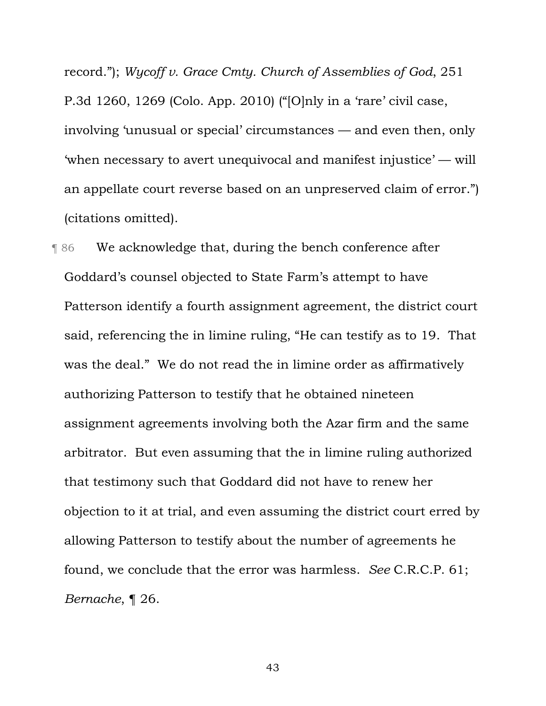record."); *Wycoff v. Grace Cmty. Church of Assemblies of God*, 251 P.3d 1260, 1269 (Colo. App. 2010) ("[O]nly in a 'rare' civil case, involving 'unusual or special' circumstances — and even then, only 'when necessary to avert unequivocal and manifest injustice' — will an appellate court reverse based on an unpreserved claim of error.") (citations omitted).

¶ 86 We acknowledge that, during the bench conference after Goddard's counsel objected to State Farm's attempt to have Patterson identify a fourth assignment agreement, the district court said, referencing the in limine ruling, "He can testify as to 19. That was the deal." We do not read the in limine order as affirmatively authorizing Patterson to testify that he obtained nineteen assignment agreements involving both the Azar firm and the same arbitrator. But even assuming that the in limine ruling authorized that testimony such that Goddard did not have to renew her objection to it at trial, and even assuming the district court erred by allowing Patterson to testify about the number of agreements he found, we conclude that the error was harmless. *See* C.R.C.P. 61; *Bernache*, ¶ 26.